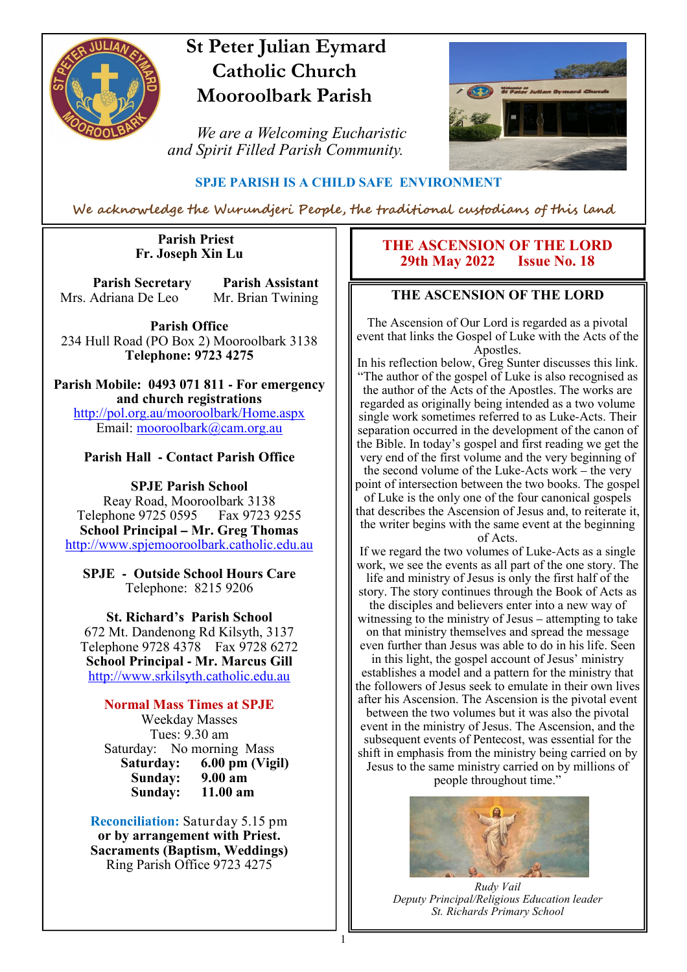

# **St Peter Julian Eymard Catholic Church Mooroolbark Parish**

 *We are a Welcoming Eucharistic and Spirit Filled Parish Community.*



#### **SPJE PARISH IS A CHILD SAFE ENVIRONMENT**

We acknowledge the Wurundjeri People, the traditional custodians of this land

1

#### **Parish Priest Fr. Joseph Xin Lu**

**Parish Secretary Parish Assistant** Mrs. Adriana De Leo Mr. Brian Twining

**Parish Office** 234 Hull Road (PO Box 2) Mooroolbark 3138 **Telephone: 9723 4275** 

**Parish Mobile: 0493 071 811 - For emergency and church registrations** http://pol.org.au/mooroolbark/Home.aspx Email: mooroolbark@cam.org.au

#### **Parish Hall - Contact Parish Office**

**SPJE Parish School** Reay Road, Mooroolbark 3138 Telephone 9725 0595 Fax 9723 9255 **School Principal – Mr. Greg Thomas** http://www.spjemooroolbark.catholic.edu.au

**SPJE - Outside School Hours Care** Telephone: 8215 9206

**St. Richard's Parish School** 672 Mt. Dandenong Rd Kilsyth, 3137 Telephone 9728 4378 Fax 9728 6272 **School Principal - Mr. Marcus Gill** http://www.srkilsyth.catholic.edu.au

**Normal Mass Times at SPJE**  Weekday Masses Tues: 9.30 am Saturday: No morning Mass<br>Saturday: 6.00 pm (Vig **6.00 pm (Vigil)**<br>9.00 am **Sunday: 9.00 am Sunday:** 

**Reconciliation:** Saturday 5.15 pm **or by arrangement with Priest. Sacraments (Baptism, Weddings)**  Ring Parish Office 9723 4275

#### **THE ASCENSION OF THE LORD**<br>29th May 2022 **Issue No. 18 29th May 2022**

#### **THE ASCENSION OF THE LORD**

The Ascension of Our Lord is regarded as a pivotal event that links the Gospel of Luke with the Acts of the Apostles.

In his reflection below, Greg Sunter discusses this link. "The author of the gospel of Luke is also recognised as the author of the Acts of the Apostles. The works are regarded as originally being intended as a two volume single work sometimes referred to as Luke-Acts. Their separation occurred in the development of the canon of the Bible. In today's gospel and first reading we get the very end of the first volume and the very beginning of the second volume of the Luke-Acts work – the very point of intersection between the two books. The gospel of Luke is the only one of the four canonical gospels that describes the Ascension of Jesus and, to reiterate it, the writer begins with the same event at the beginning of Acts.

If we regard the two volumes of Luke-Acts as a single work, we see the events as all part of the one story. The life and ministry of Jesus is only the first half of the story. The story continues through the Book of Acts as the disciples and believers enter into a new way of witnessing to the ministry of Jesus – attempting to take on that ministry themselves and spread the message even further than Jesus was able to do in his life. Seen in this light, the gospel account of Jesus' ministry establishes a model and a pattern for the ministry that the followers of Jesus seek to emulate in their own lives after his Ascension. The Ascension is the pivotal event between the two volumes but it was also the pivotal event in the ministry of Jesus. The Ascension, and the subsequent events of Pentecost, was essential for the shift in emphasis from the ministry being carried on by Jesus to the same ministry carried on by millions of people throughout time."



*Rudy Vail Deputy Principal/Religious Education leader St. Richards Primary School*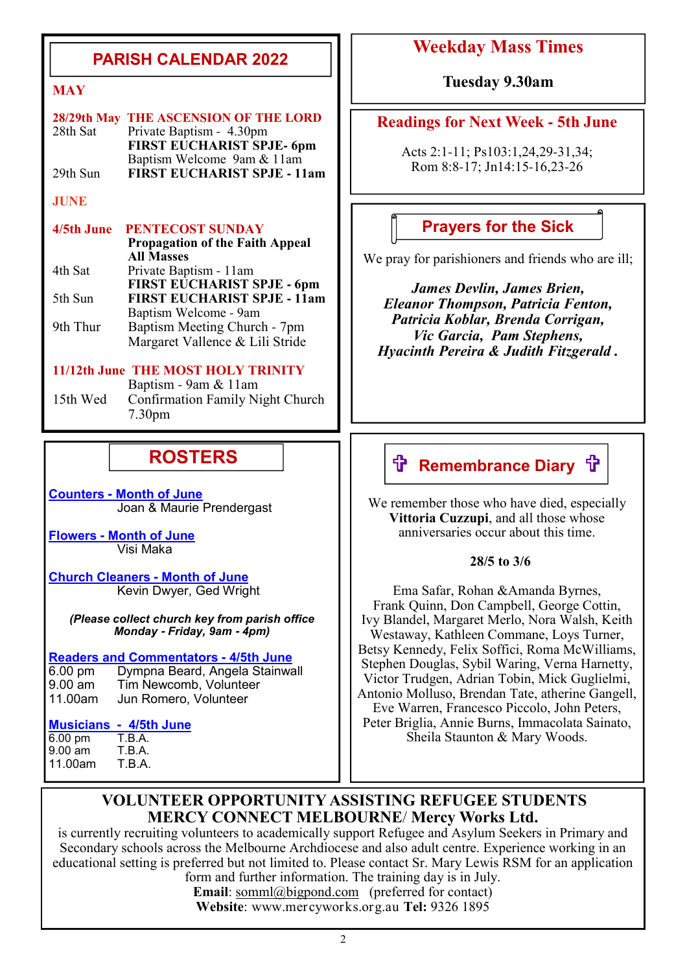### **PARISH CALENDAR 2022**

| 28/29th May THE ASCENSION OF THE LORD |
|---------------------------------------|
| Private Baptism - 4.30pm              |
| <b>FIRST EUCHARIST SPJE- 6pm</b>      |
| Baptism Welcome 9am & 11am            |
| <b>FIRST EUCHARIST SPJE - 11am</b>    |
|                                       |

#### **JUNE**

#### **4/5th June PENTECOST SUNDAY Propagation of the Faith Appeal All Masses**<br>4th Sat Private Bap Private Baptism - 11am **FIRST EUCHARIST SPJE - 6pm**<br>5th Sun **FIRST EUCHARIST SPJE - 11am** 5th Sun **FIRST EUCHARIST SPJE - 11am** Baptism Welcome - 9am 9th Thur Baptism Meeting Church - 7pm Margaret Vallence & Lili Stride

#### **11/12th June THE MOST HOLY TRINITY**

Baptism - 9am & 11am<br>15th Wed Confirmation Family N Confirmation Family Night Church 7.30pm

## **ROSTERS**

**Counters - Month of June**  Joan & Maurie Prendergast

**Flowers - Month of June**  Visi Maka

**Church Cleaners - Month of June** Kevin Dwyer, Ged Wright

*(Please collect church key from parish office Monday* **-** *Friday, 9am* **-** *4pm)*

# **<u>Readers and Commentators - 4/5th June</u>**<br>**6.00 pm** Dympna Beard, Angela Stainwa

Dympna Beard, Angela Stainwall 9.00 am Tim Newcomb, Volunteer<br>11.00am Jun Romero, Volunteer Jun Romero, Volunteer

# **Musicians - 4/5th June**

6.00 pm T.B.A.<br>9.00 am T.B.A. 9.00 am T.B.A. 11.00am

### **Weekday Mass Times**

**MAY Tuesday 9.30am** 

#### **Readings for Next Week - 5th June**

Acts 2:1-11; Ps103:1,24,29-31,34; Rom 8:8-17; Jn14:15-16,23-26

### **Prayers for the Sick**

We pray for parishioners and friends who are ill;

*James Devlin, James Brien, Eleanor Thompson, Patricia Fenton, Patricia Koblar, Brenda Corrigan, Vic Garcia, Pam Stephens, Hyacinth Pereira & Judith Fitzgerald .*

# **f Remembrance Diary f**

We remember those who have died, especially **Vittoria Cuzzupi**, and all those whose anniversaries occur about this time.

#### **28/5 to 3/6**

Ema Safar, Rohan &Amanda Byrnes, Frank Quinn, Don Campbell, George Cottin, Ivy Blandel, Margaret Merlo, Nora Walsh, Keith Westaway, Kathleen Commane, Loys Turner, Betsy Kennedy, Felix Soffici, Roma McWilliams, Stephen Douglas, Sybil Waring, Verna Harnetty, Victor Trudgen, Adrian Tobin, Mick Guglielmi, Antonio Molluso, Brendan Tate, atherine Gangell, Eve Warren, Francesco Piccolo, John Peters, Peter Briglia, Annie Burns, Immacolata Sainato, Sheila Staunton & Mary Woods.

#### **VOLUNTEER OPPORTUNITY ASSISTING REFUGEE STUDENTS MERCY CONNECT MELBOURNE**/ **Mercy Works Ltd.**

is currently recruiting volunteers to academically support Refugee and Asylum Seekers in Primary and Secondary schools across the Melbourne Archdiocese and also adult centre. Experience working in an educational setting is preferred but not limited to. Please contact Sr. Mary Lewis RSM for an application form and further information. The training day is in July.

> **Email**: somml@bigpond.com (preferred for contact) **Website**: www.mercyworks.org.au **Tel:** 9326 1895